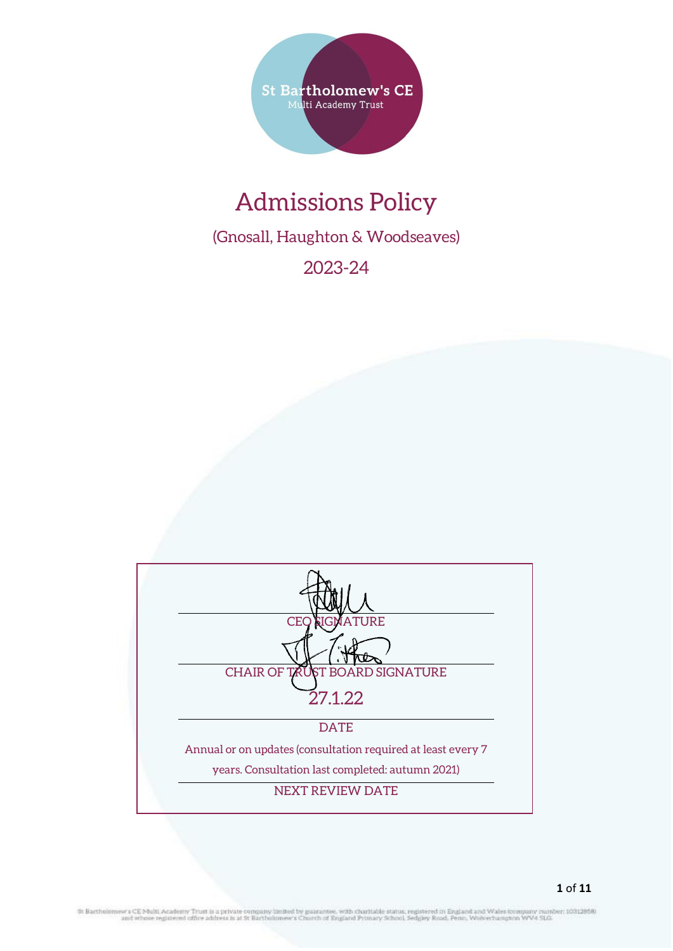

# Admissions Policy

(Gnosall, Haughton & Woodseaves)

2023-24

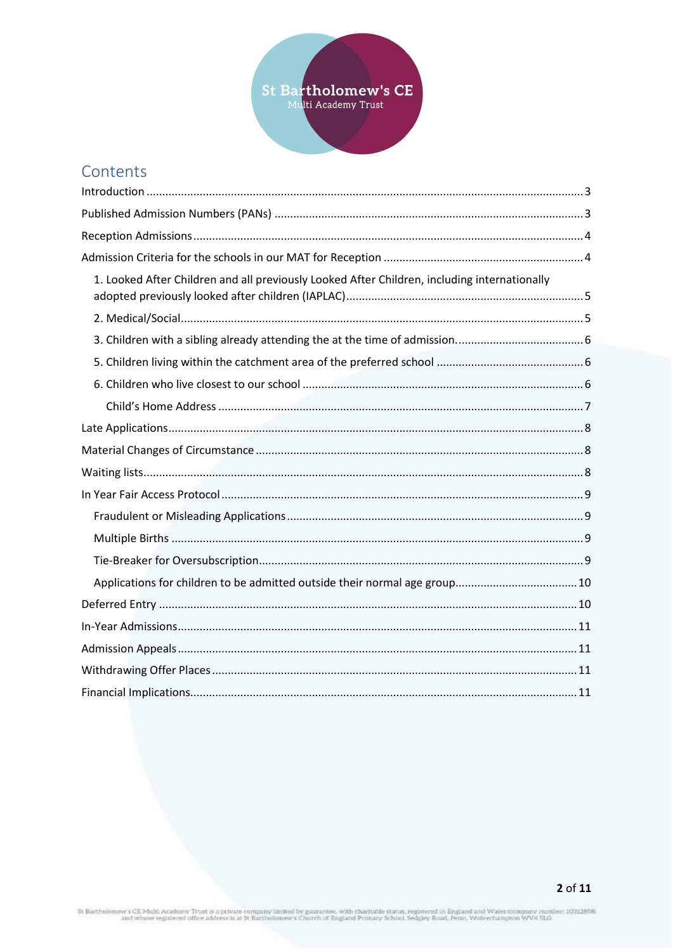

# Contents

| 1. Looked After Children and all previously Looked After Children, including internationally |  |
|----------------------------------------------------------------------------------------------|--|
|                                                                                              |  |
|                                                                                              |  |
|                                                                                              |  |
|                                                                                              |  |
|                                                                                              |  |
|                                                                                              |  |
|                                                                                              |  |
|                                                                                              |  |
|                                                                                              |  |
|                                                                                              |  |
|                                                                                              |  |
|                                                                                              |  |
|                                                                                              |  |
|                                                                                              |  |
|                                                                                              |  |
|                                                                                              |  |
|                                                                                              |  |
|                                                                                              |  |

St Bartholomew's CE Multi Academy Trust is a private company limited by guarantee, with charitable status, registered in England and Wales company number; 10312858)<br>and whose registered office address is at St Bartholomew'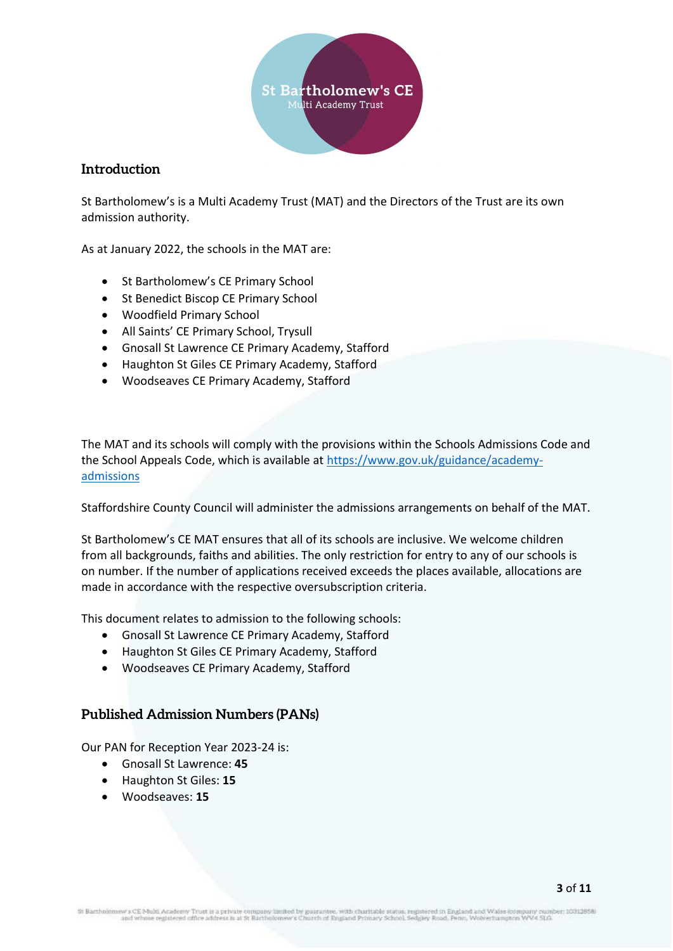

# <span id="page-2-0"></span>**Introduction**

St Bartholomew's is a Multi Academy Trust (MAT) and the Directors of the Trust are its own admission authority.

As at January 2022, the schools in the MAT are:

- St Bartholomew's CE Primary School
- St Benedict Biscop CE Primary School
- Woodfield Primary School
- All Saints' CE Primary School, Trysull
- Gnosall St Lawrence CE Primary Academy, Stafford
- Haughton St Giles CE Primary Academy, Stafford
- Woodseaves CE Primary Academy, Stafford

The MAT and its schools will comply with the provisions within the Schools Admissions Code and the School Appeals Code, which is available at [https://www.gov.uk/guidance/academy](https://www.gov.uk/guidance/academy-admissions)[admissions](https://www.gov.uk/guidance/academy-admissions)

Staffordshire County Council will administer the admissions arrangements on behalf of the MAT.

St Bartholomew's CE MAT ensures that all of its schools are inclusive. We welcome children from all backgrounds, faiths and abilities. The only restriction for entry to any of our schools is on number. If the number of applications received exceeds the places available, allocations are made in accordance with the respective oversubscription criteria.

This document relates to admission to the following schools:

- Gnosall St Lawrence CE Primary Academy, Stafford
- Haughton St Giles CE Primary Academy, Stafford
- Woodseaves CE Primary Academy, Stafford

# <span id="page-2-1"></span>**Published Admission Numbers (PANs)**

Our PAN for Reception Year 2023-24 is:

- Gnosall St Lawrence: **45**
- Haughton St Giles: **15**
- Woodseaves: **15**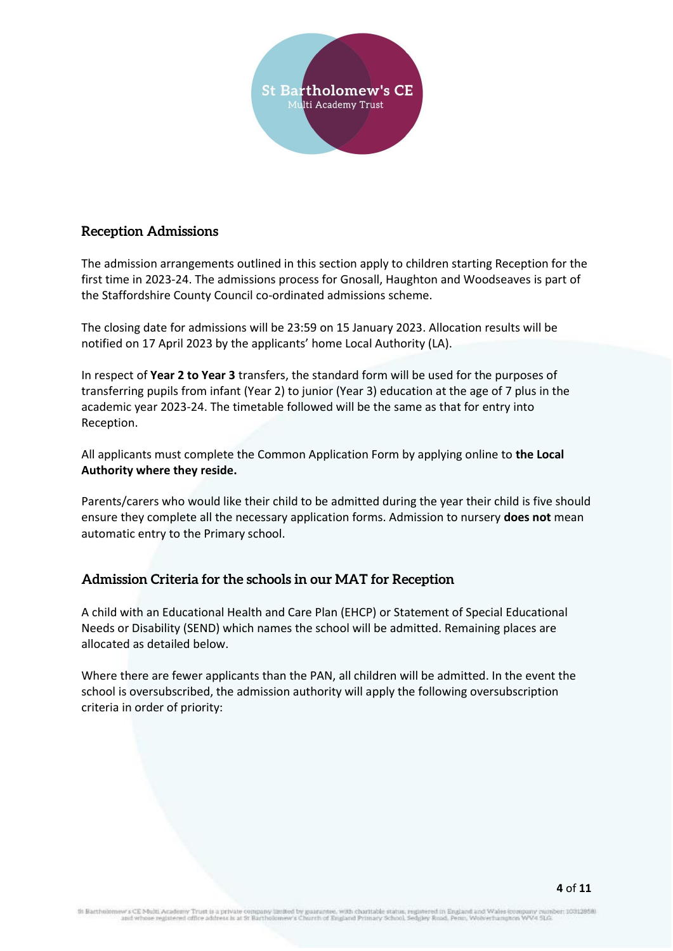

# <span id="page-3-0"></span>**Reception Admissions**

The admission arrangements outlined in this section apply to children starting Reception for the first time in 2023-24. The admissions process for Gnosall, Haughton and Woodseaves is part of the Staffordshire County Council co-ordinated admissions scheme.

The closing date for admissions will be 23:59 on 15 January 2023. Allocation results will be notified on 17 April 2023 by the applicants' home Local Authority (LA).

In respect of **Year 2 to Year 3** transfers, the standard form will be used for the purposes of transferring pupils from infant (Year 2) to junior (Year 3) education at the age of 7 plus in the academic year 2023-24. The timetable followed will be the same as that for entry into Reception.

All applicants must complete the Common Application Form by applying online to **the Local Authority where they reside.** 

Parents/carers who would like their child to be admitted during the year their child is five should ensure they complete all the necessary application forms. Admission to nursery **does not** mean automatic entry to the Primary school.

# <span id="page-3-1"></span>**Admission Criteria for the schools in our MAT for Reception**

A child with an Educational Health and Care Plan (EHCP) or Statement of Special Educational Needs or Disability (SEND) which names the school will be admitted. Remaining places are allocated as detailed below.

Where there are fewer applicants than the PAN, all children will be admitted. In the event the school is oversubscribed, the admission authority will apply the following oversubscription criteria in order of priority:

cademy Trust is a private company limited by guarantee, with charitable status, registered in England and Wales kon<br>istered office address is at St Bartholomew's Church of England Primary School, Sedgiey Road, Penn, Wolwer th Bartholomi nber: 10312858) nguniy swoi<br>s WV4 51.G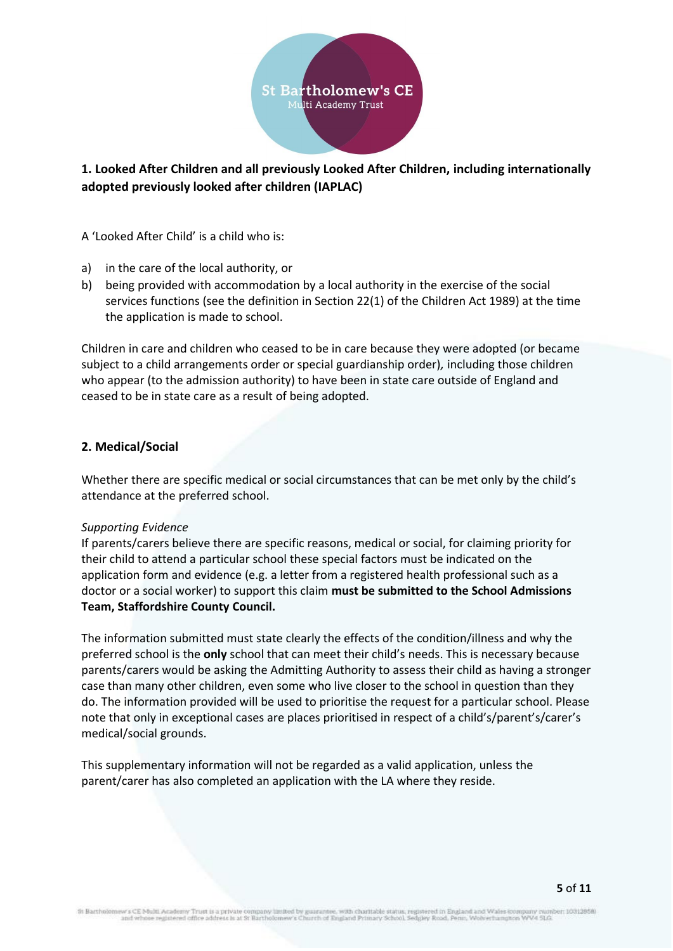

# <span id="page-4-0"></span>**1. Looked After Children and all previously Looked After Children, including internationally adopted previously looked after children (IAPLAC)**

A 'Looked After Child' is a child who is:

- a) in the care of the local authority, or
- b) being provided with accommodation by a local authority in the exercise of the social services functions (see the definition in Section 22(1) of the Children Act 1989) at the time the application is made to school.

Children in care and children who ceased to be in care because they were adopted (or became subject to a child arrangements order or special guardianship order)*,* including those children who appear (to the admission authority) to have been in state care outside of England and ceased to be in state care as a result of being adopted.

# <span id="page-4-1"></span>**2. Medical/Social**

Whether there are specific medical or social circumstances that can be met only by the child's attendance at the preferred school.

#### *Supporting Evidence*

If parents/carers believe there are specific reasons, medical or social, for claiming priority for their child to attend a particular school these special factors must be indicated on the application form and evidence (e.g. a letter from a registered health professional such as a doctor or a social worker) to support this claim **must be submitted to the School Admissions Team, Staffordshire County Council.** 

The information submitted must state clearly the effects of the condition/illness and why the preferred school is the **only** school that can meet their child's needs. This is necessary because parents/carers would be asking the Admitting Authority to assess their child as having a stronger case than many other children, even some who live closer to the school in question than they do. The information provided will be used to prioritise the request for a particular school. Please note that only in exceptional cases are places prioritised in respect of a child's/parent's/carer's medical/social grounds.

This supplementary information will not be regarded as a valid application, unless the parent/carer has also completed an application with the LA where they reside.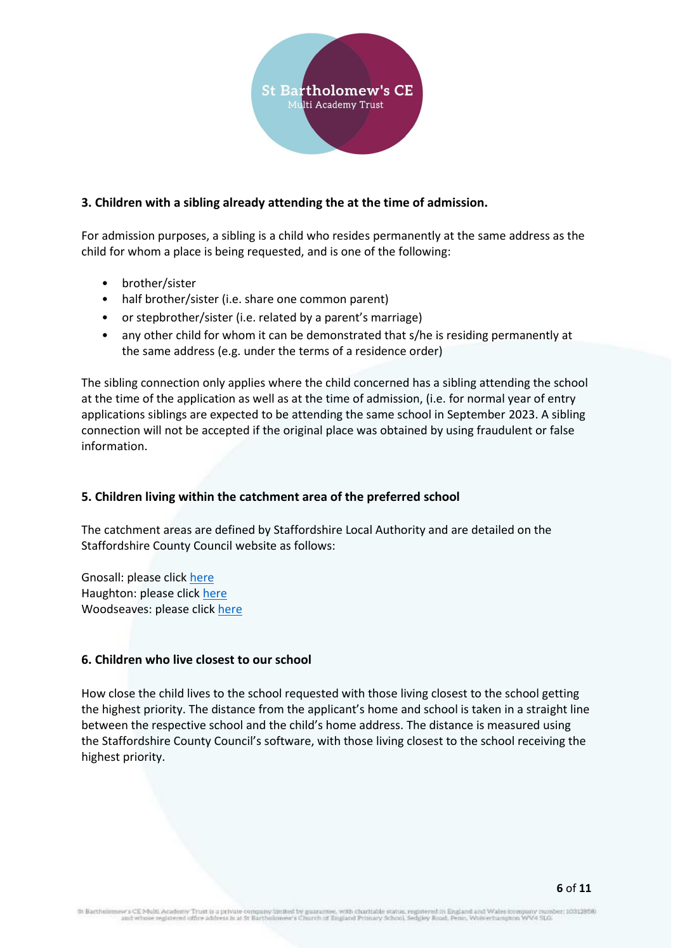

# <span id="page-5-0"></span>**3. Children with a sibling already attending the at the time of admission.**

For admission purposes, a sibling is a child who resides permanently at the same address as the child for whom a place is being requested, and is one of the following:

- brother/sister
- half brother/sister (i.e. share one common parent)
- or stepbrother/sister (i.e. related by a parent's marriage)
- any other child for whom it can be demonstrated that s/he is residing permanently at the same address (e.g. under the terms of a residence order)

The sibling connection only applies where the child concerned has a sibling attending the school at the time of the application as well as at the time of admission, (i.e. for normal year of entry applications siblings are expected to be attending the same school in September 2023. A sibling connection will not be accepted if the original place was obtained by using fraudulent or false information.

#### <span id="page-5-1"></span>**5. Children living within the catchment area of the preferred school**

The catchment areas are defined by Staffordshire Local Authority and are detailed on the Staffordshire County Council website as follows:

Gnosall: please click [here](https://apps2.staffordshire.gov.uk/scc/schooldetails/details.aspx?Type=P&Easting=383093&Northing=320581&SchoolMap=1&SchoolID=141779#map) Haughton: please click [here](https://apps2.staffordshire.gov.uk/scc/schooldetails/details.aspx?Type=P&Easting=386768&Northing=320468&SchoolMap=1&SchoolID=141783#map) Woodseaves: please click [here](https://apps2.staffordshire.gov.uk/scc/schooldetails/details.aspx?Type=P&Easting=380214&Northing=325333&SchoolMap=1&SchoolID=141856#map)

#### <span id="page-5-2"></span>**6. Children who live closest to our school**

How close the child lives to the school requested with those living closest to the school getting the highest priority. The distance from the applicant's home and school is taken in a straight line between the respective school and the child's home address. The distance is measured using the Staffordshire County Council's software, with those living closest to the school receiving the highest priority.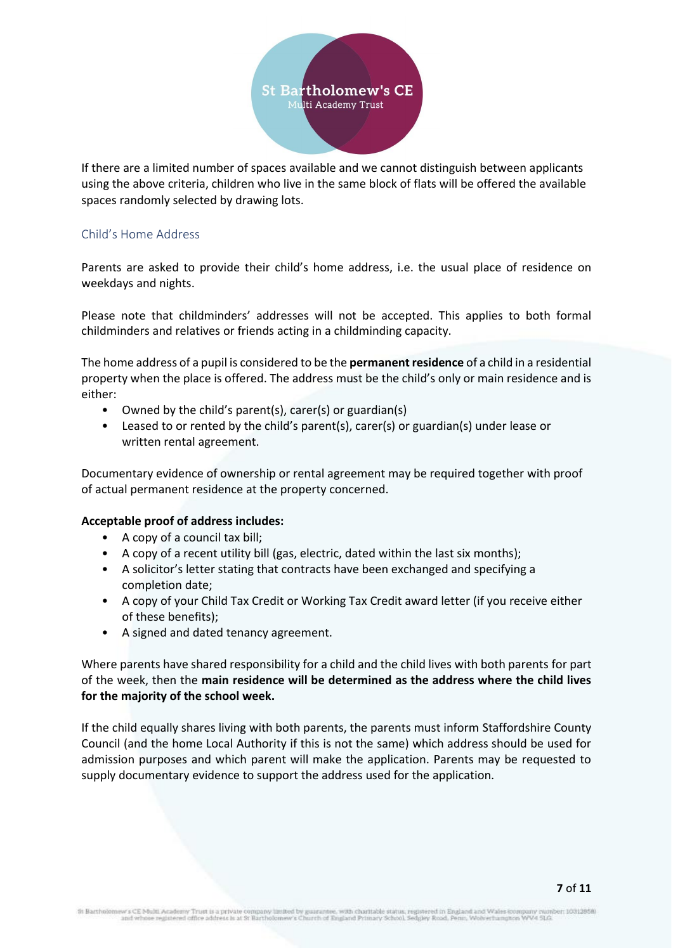

If there are a limited number of spaces available and we cannot distinguish between applicants using the above criteria, children who live in the same block of flats will be offered the available spaces randomly selected by drawing lots.

### <span id="page-6-0"></span>Child's Home Address

Parents are asked to provide their child's home address, i.e. the usual place of residence on weekdays and nights.

Please note that childminders' addresses will not be accepted. This applies to both formal childminders and relatives or friends acting in a childminding capacity.

The home address of a pupil is considered to be the **permanent residence** of a child in a residential property when the place is offered. The address must be the child's only or main residence and is either:

- Owned by the child's parent(s), carer(s) or guardian(s)
- Leased to or rented by the child's parent(s), carer(s) or guardian(s) under lease or written rental agreement.

Documentary evidence of ownership or rental agreement may be required together with proof of actual permanent residence at the property concerned.

#### **Acceptable proof of address includes:**

- A copy of a council tax bill;
- A copy of a recent utility bill (gas, electric, dated within the last six months);
- A solicitor's letter stating that contracts have been exchanged and specifying a completion date;
- A copy of your Child Tax Credit or Working Tax Credit award letter (if you receive either of these benefits);
- A signed and dated tenancy agreement.

Where parents have shared responsibility for a child and the child lives with both parents for part of the week, then the **main residence will be determined as the address where the child lives for the majority of the school week.**

If the child equally shares living with both parents, the parents must inform Staffordshire County Council (and the home Local Authority if this is not the same) which address should be used for admission purposes and which parent will make the application. Parents may be requested to supply documentary evidence to support the address used for the application.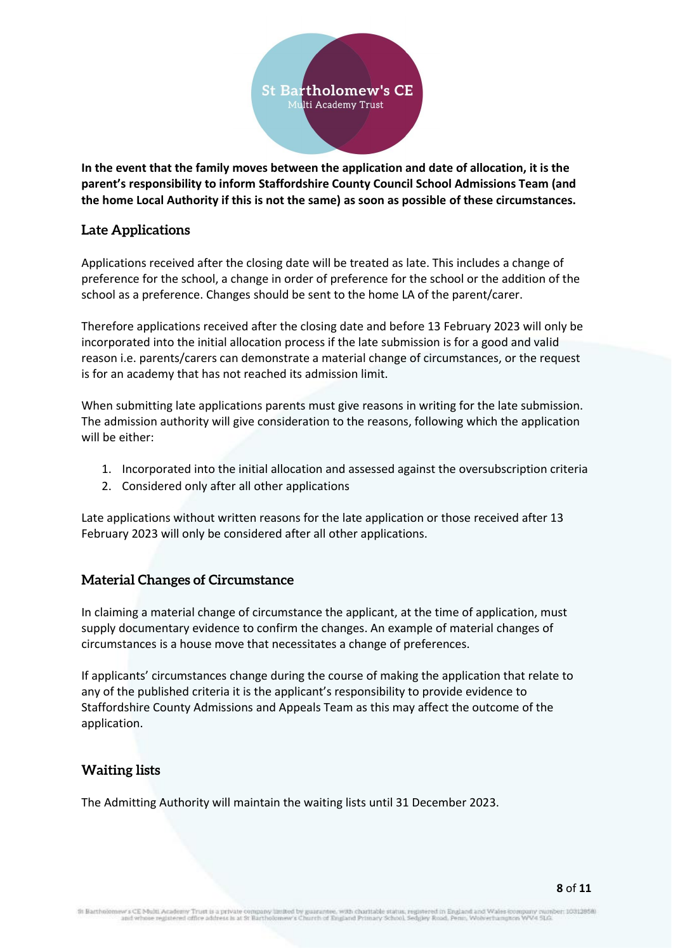

**In the event that the family moves between the application and date of allocation, it is the parent's responsibility to inform Staffordshire County Council School Admissions Team (and the home Local Authority if this is not the same) as soon as possible of these circumstances.**

# <span id="page-7-0"></span>**Late Applications**

Applications received after the closing date will be treated as late. This includes a change of preference for the school, a change in order of preference for the school or the addition of the school as a preference. Changes should be sent to the home LA of the parent/carer.

Therefore applications received after the closing date and before 13 February 2023 will only be incorporated into the initial allocation process if the late submission is for a good and valid reason i.e. parents/carers can demonstrate a material change of circumstances, or the request is for an academy that has not reached its admission limit.

When submitting late applications parents must give reasons in writing for the late submission. The admission authority will give consideration to the reasons, following which the application will be either:

- 1. Incorporated into the initial allocation and assessed against the oversubscription criteria
- 2. Considered only after all other applications

Late applications without written reasons for the late application or those received after 13 February 2023 will only be considered after all other applications.

# <span id="page-7-1"></span>**Material Changes of Circumstance**

In claiming a material change of circumstance the applicant, at the time of application, must supply documentary evidence to confirm the changes. An example of material changes of circumstances is a house move that necessitates a change of preferences.

If applicants' circumstances change during the course of making the application that relate to any of the published criteria it is the applicant's responsibility to provide evidence to Staffordshire County Admissions and Appeals Team as this may affect the outcome of the application.

# <span id="page-7-2"></span>**Waiting lists**

The Admitting Authority will maintain the waiting lists until 31 December 2023.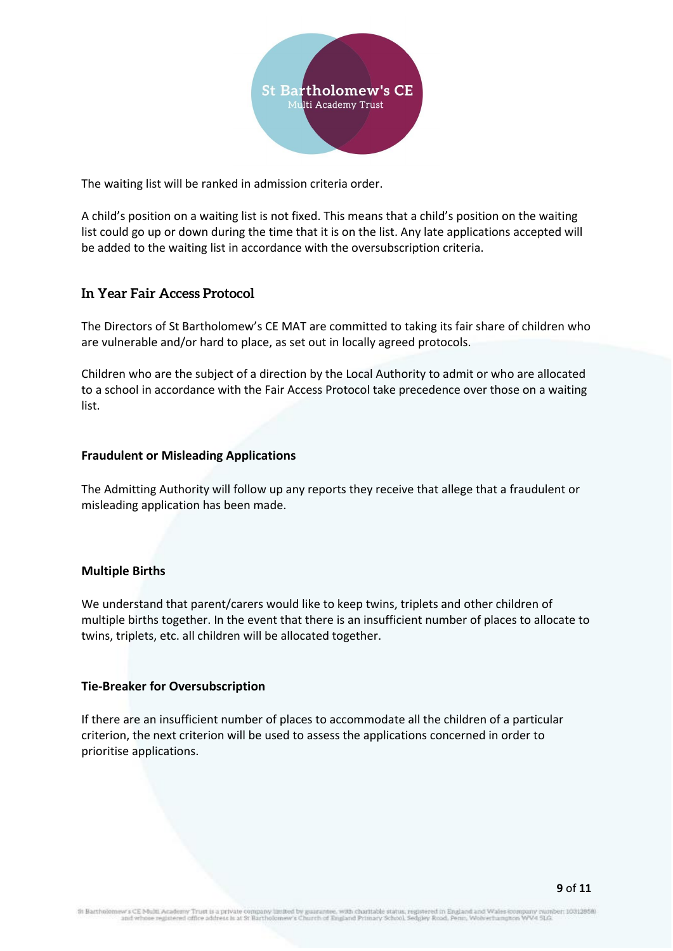

The waiting list will be ranked in admission criteria order.

A child's position on a waiting list is not fixed. This means that a child's position on the waiting list could go up or down during the time that it is on the list. Any late applications accepted will be added to the waiting list in accordance with the oversubscription criteria.

# <span id="page-8-0"></span>**In Year Fair Access Protocol**

The Directors of St Bartholomew's CE MAT are committed to taking its fair share of children who are vulnerable and/or hard to place, as set out in locally agreed protocols.

Children who are the subject of a direction by the Local Authority to admit or who are allocated to a school in accordance with the Fair Access Protocol take precedence over those on a waiting list.

#### <span id="page-8-1"></span>**Fraudulent or Misleading Applications**

The Admitting Authority will follow up any reports they receive that allege that a fraudulent or misleading application has been made.

#### <span id="page-8-2"></span>**Multiple Births**

We understand that parent/carers would like to keep twins, triplets and other children of multiple births together. In the event that there is an insufficient number of places to allocate to twins, triplets, etc. all children will be allocated together.

#### <span id="page-8-3"></span>**Tie-Breaker for Oversubscription**

If there are an insufficient number of places to accommodate all the children of a particular criterion, the next criterion will be used to assess the applications concerned in order to prioritise applications.

i Academy Trust is a private company limited by guarantee, with charitable status, registered in England and Wales kon<br>registered office address is at St Bartholomew's Church of England Primary School, Sedgiey Road, Penn, th Bartholomi nber: 10312858) ngany nun<br>s WV4 51.G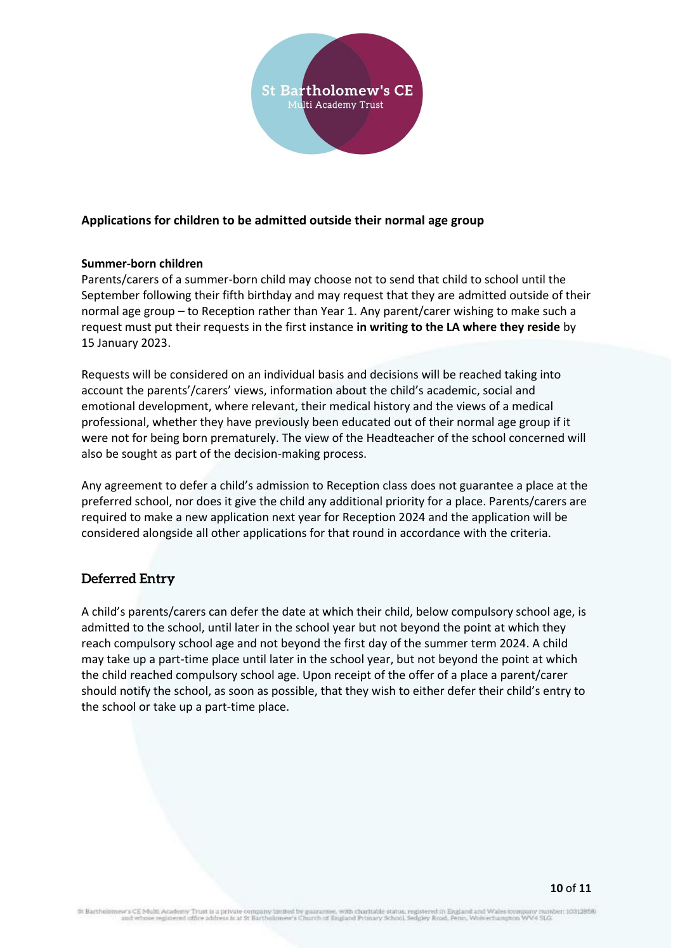

# <span id="page-9-0"></span>**Applications for children to be admitted outside their normal age group**

#### **Summer-born children**

Parents/carers of a summer-born child may choose not to send that child to school until the September following their fifth birthday and may request that they are admitted outside of their normal age group – to Reception rather than Year 1. Any parent/carer wishing to make such a request must put their requests in the first instance **in writing to the LA where they reside** by 15 January 2023.

Requests will be considered on an individual basis and decisions will be reached taking into account the parents'/carers' views, information about the child's academic, social and emotional development, where relevant, their medical history and the views of a medical professional, whether they have previously been educated out of their normal age group if it were not for being born prematurely. The view of the Headteacher of the school concerned will also be sought as part of the decision-making process.

Any agreement to defer a child's admission to Reception class does not guarantee a place at the preferred school, nor does it give the child any additional priority for a place. Parents/carers are required to make a new application next year for Reception 2024 and the application will be considered alongside all other applications for that round in accordance with the criteria.

# <span id="page-9-1"></span>**Deferred Entry**

A child's parents/carers can defer the date at which their child, below compulsory school age, is admitted to the school, until later in the school year but not beyond the point at which they reach compulsory school age and not beyond the first day of the summer term 2024. A child may take up a part-time place until later in the school year, but not beyond the point at which the child reached compulsory school age. Upon receipt of the offer of a place a parent/carer should notify the school, as soon as possible, that they wish to either defer their child's entry to the school or take up a part-time place.